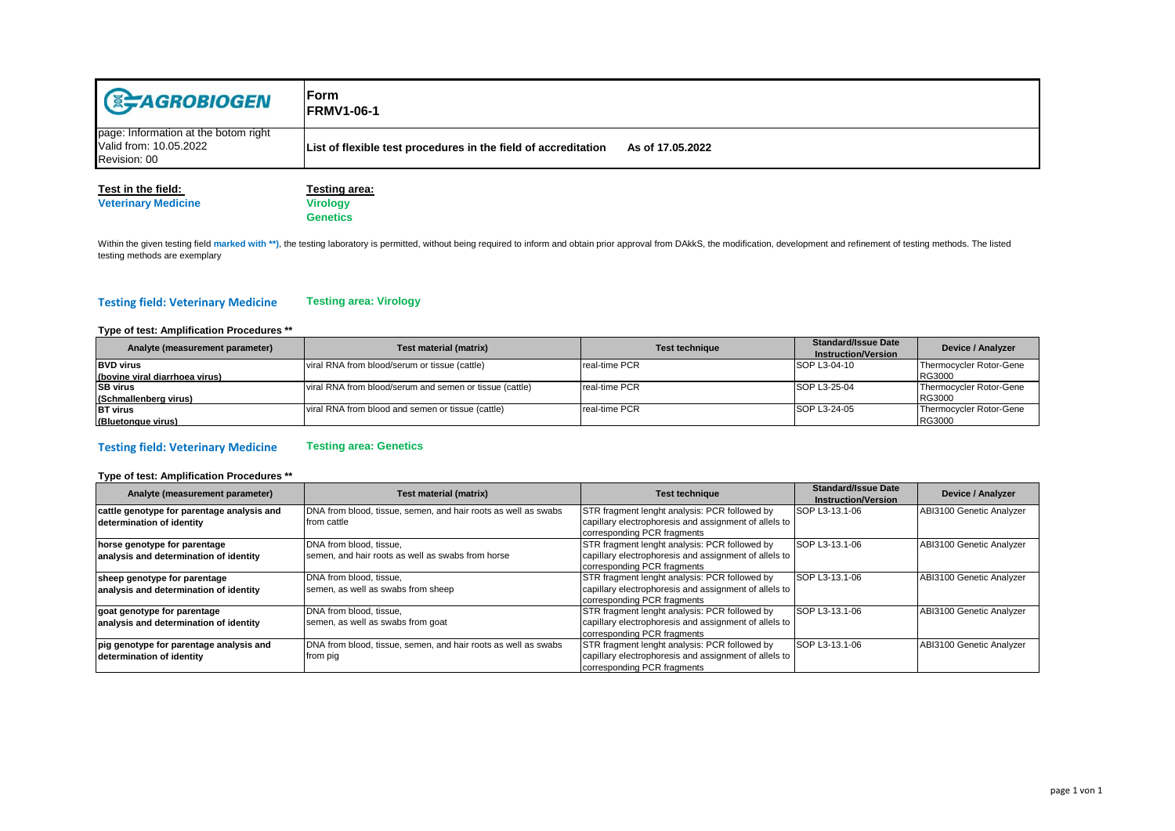| <b>E-AGROBIOGEN</b>                                                            | lForm.<br><b>FRMV1-06-1</b>                                                        |
|--------------------------------------------------------------------------------|------------------------------------------------------------------------------------|
| page: Information at the botom right<br>Valid from: 10.05.2022<br>Revision: 00 | List of flexible test procedures in the field of accreditation<br>As of 17.05.2022 |
|                                                                                |                                                                                    |

# **Veterinary Medicine**

**Test in the field:** Testing area:<br> **Testing area:** Virology **Genetics**

Within the given testing field marked with \*\*), the testing laboratory is permitted, without being required to inform and obtain prior approval from DAkkS, the modification, development and refinement of testing methods. T testing methods are exemplary

#### **Testing field: Veterinary Medicine Testing area: Virology**

### **Type of test: Amplification Procedures \*\***

| Analyte (measurement parameter) | Test material (matrix)                                  | <b>Test technique</b> | <b>Standard/Issue Date</b> | Device / Analyzer       |
|---------------------------------|---------------------------------------------------------|-----------------------|----------------------------|-------------------------|
|                                 |                                                         |                       | <b>Instruction/Version</b> |                         |
| <b>BVD</b> virus                | viral RNA from blood/serum or tissue (cattle)           | real-time PCR         | <b>SOP L3-04-10</b>        | Thermocycler Rotor-Gene |
| (bovine viral diarrhoea virus)  |                                                         |                       |                            | RG3000                  |
| <b>SB</b> virus                 | viral RNA from blood/serum and semen or tissue (cattle) | real-time PCR         | SOP L3-25-04               | Thermocycler Rotor-Gene |
| (Schmallenberg virus)           |                                                         |                       |                            | RG3000                  |
| <b>BT</b> virus                 | viral RNA from blood and semen or tissue (cattle)       | real-time PCR         | SOP L3-24-05               | Thermocycler Rotor-Gene |
| (Bluetongue virus)              |                                                         |                       |                            | <b>RG3000</b>           |

#### **Testing field: Veterinary Medicine Testing area: Genetics**

## **Type of test: Amplification Procedures \*\***

| Analyte (measurement parameter)            | Test material (matrix)                                         | <b>Test technique</b>                                                                | <b>Standard/Issue Date</b><br><b>Instruction/Version</b> | Device / Analyzer        |
|--------------------------------------------|----------------------------------------------------------------|--------------------------------------------------------------------------------------|----------------------------------------------------------|--------------------------|
| cattle genotype for parentage analysis and | DNA from blood, tissue, semen, and hair roots as well as swabs | STR fragment lenght analysis: PCR followed by                                        | <b>SOP L3-13.1-06</b>                                    | ABI3100 Genetic Analyzer |
| determination of identity                  | from cattle                                                    | capillary electrophoresis and assignment of allels to<br>corresponding PCR fragments |                                                          |                          |
| horse genotype for parentage               | DNA from blood, tissue,                                        | STR fragment lenght analysis: PCR followed by                                        | SOP L3-13.1-06                                           | ABI3100 Genetic Analyzer |
| analysis and determination of identity     | semen, and hair roots as well as swabs from horse              | capillary electrophoresis and assignment of allels to<br>corresponding PCR fragments |                                                          |                          |
| sheep genotype for parentage               | DNA from blood, tissue.                                        | STR fragment lenght analysis: PCR followed by                                        | <b>SOP L3-13.1-06</b>                                    | ABI3100 Genetic Analyzer |
| analysis and determination of identity     | semen, as well as swabs from sheep                             | capillary electrophoresis and assignment of allels to<br>corresponding PCR fragments |                                                          |                          |
| goat genotype for parentage                | DNA from blood, tissue,                                        | STR fragment lenght analysis: PCR followed by                                        | <b>SOP L3-13.1-06</b>                                    | ABI3100 Genetic Analyzer |
| analysis and determination of identity     | semen, as well as swabs from goat                              | capillary electrophoresis and assignment of allels to                                |                                                          |                          |
|                                            |                                                                | corresponding PCR fragments                                                          |                                                          |                          |
| pig genotype for parentage analysis and    | DNA from blood, tissue, semen, and hair roots as well as swabs | STR fragment lenght analysis: PCR followed by                                        | SOP L3-13.1-06                                           | ABI3100 Genetic Analyzer |
| determination of identity                  | from pig                                                       | capillary electrophoresis and assignment of allels to                                |                                                          |                          |
|                                            |                                                                | corresponding PCR fragments                                                          |                                                          |                          |